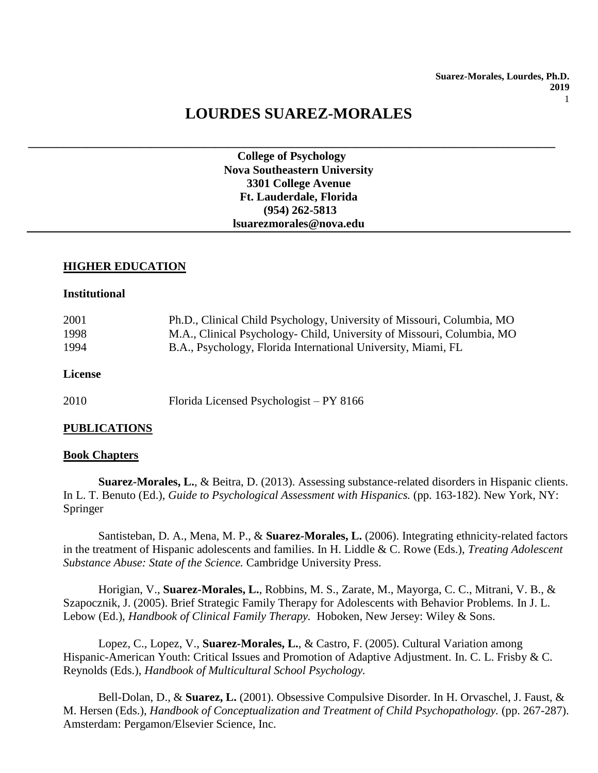# **LOURDES SUAREZ-MORALES**

**\_\_\_\_\_\_\_\_\_\_\_\_\_\_\_\_\_\_\_\_\_\_\_\_\_\_\_\_\_\_\_\_\_\_\_\_\_\_\_\_\_\_\_\_\_\_\_\_\_\_\_\_\_\_\_\_\_\_\_\_\_\_\_\_\_\_\_\_\_\_\_\_\_\_\_\_\_\_\_\_\_\_\_\_\_\_\_\_\_\_ College of Psychology Nova Southeastern University 3301 College Avenue Ft. Lauderdale, Florida (954) 262-5813 lsuarezmorales@nova.edu**

#### **HIGHER EDUCATION**

#### **Institutional**

| 2001<br>1998<br>1994 | Ph.D., Clinical Child Psychology, University of Missouri, Columbia, MO<br>M.A., Clinical Psychology- Child, University of Missouri, Columbia, MO<br>B.A., Psychology, Florida International University, Miami, FL |
|----------------------|-------------------------------------------------------------------------------------------------------------------------------------------------------------------------------------------------------------------|
| <b>License</b>       |                                                                                                                                                                                                                   |
| 2010                 | Florida Licensed Psychologist – $PY8166$                                                                                                                                                                          |

#### **PUBLICATIONS**

#### **Book Chapters**

**Suarez-Morales, L.**, & Beitra, D. (2013). Assessing substance-related disorders in Hispanic clients. In L. T. Benuto (Ed.), *Guide to Psychological Assessment with Hispanics.* (pp. 163-182). New York, NY: Springer

Santisteban, D. A., Mena, M. P., & **Suarez-Morales, L.** (2006). Integrating ethnicity-related factors in the treatment of Hispanic adolescents and families. In H. Liddle & C. Rowe (Eds.), *Treating Adolescent Substance Abuse: State of the Science.* Cambridge University Press.

Horigian, V., **Suarez-Morales, L.**, Robbins, M. S., Zarate, M., Mayorga, C. C., Mitrani, V. B., & Szapocznik, J. (2005). Brief Strategic Family Therapy for Adolescents with Behavior Problems. In J. L. Lebow (Ed.), *Handbook of Clinical Family Therapy.* Hoboken, New Jersey: Wiley & Sons.

Lopez, C., Lopez, V., **Suarez-Morales, L.**, & Castro, F. (2005). Cultural Variation among Hispanic-American Youth: Critical Issues and Promotion of Adaptive Adjustment. In. C. L. Frisby & C. Reynolds (Eds.), *Handbook of Multicultural School Psychology.*

Bell-Dolan, D., & **Suarez, L.** (2001). Obsessive Compulsive Disorder. In H. Orvaschel, J. Faust, & M. Hersen (Eds.), *Handbook of Conceptualization and Treatment of Child Psychopathology.* (pp. 267-287). Amsterdam: Pergamon/Elsevier Science, Inc.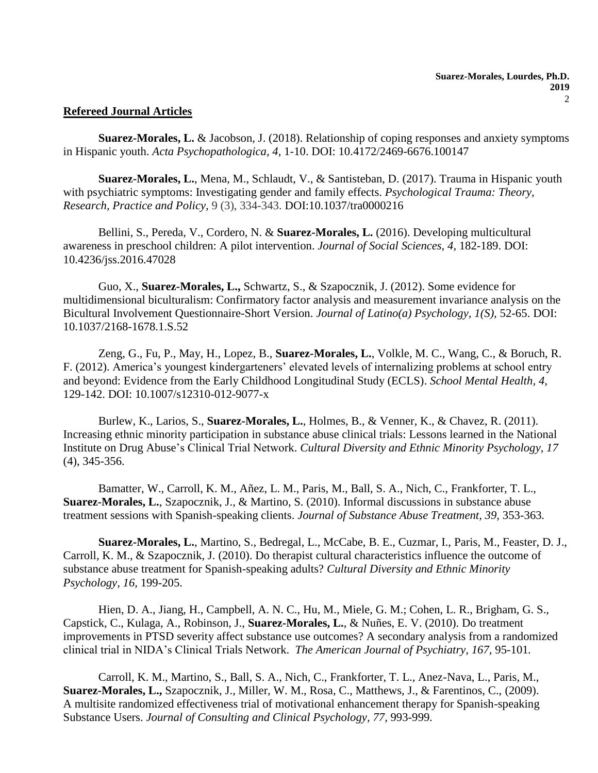## **Refereed Journal Articles**

**Suarez-Morales, L.** & Jacobson, J. (2018). Relationship of coping responses and anxiety symptoms in Hispanic youth. *Acta Psychopathologica, 4*, 1-10. DOI: 10.4172/2469-6676.100147

**Suarez-Morales, L.**, Mena, M., Schlaudt, V., & Santisteban, D. (2017). Trauma in Hispanic youth with psychiatric symptoms: Investigating gender and family effects. *Psychological Trauma: Theory, Research, Practice and Policy,* 9 (3), 334-343. DOI:10.1037/tra0000216

Bellini, S., Pereda, V., Cordero, N. & **Suarez-Morales, L.** (2016). Developing multicultural awareness in preschool children: A pilot intervention. *Journal of Social Sciences, 4*, 182-189. DOI: 10.4236/jss.2016.47028

Guo, X., **Suarez-Morales, L.,** Schwartz, S., & Szapocznik, J. (2012). Some evidence for multidimensional biculturalism: Confirmatory factor analysis and measurement invariance analysis on the Bicultural Involvement Questionnaire-Short Version. *Journal of Latino(a) Psychology, 1(S),* 52-65. DOI: 10.1037/2168-1678.1.S.52

Zeng, G., Fu, P., May, H., Lopez, B., **Suarez-Morales, L.**, Volkle, M. C., Wang, C., & Boruch, R. F. (2012). America's youngest kindergarteners' elevated levels of internalizing problems at school entry and beyond: Evidence from the Early Childhood Longitudinal Study (ECLS). *School Mental Health, 4,*  129-142. DOI: 10.1007/s12310-012-9077-x

Burlew, K., Larios, S., **Suarez-Morales, L.**, Holmes, B., & Venner, K., & Chavez, R. (2011). Increasing ethnic minority participation in substance abuse clinical trials: Lessons learned in the National Institute on Drug Abuse's Clinical Trial Network. *Cultural Diversity and Ethnic Minority Psychology, 17* (4), 345-356.

Bamatter, W., Carroll, K. M., Añez, L. M., Paris, M., Ball, S. A., Nich, C., Frankforter, T. L., **Suarez-Morales, L.**, Szapocznik, J., & Martino, S. (2010). Informal discussions in substance abuse treatment sessions with Spanish-speaking clients. *Journal of Substance Abuse Treatment, 39,* 353-363*.* 

**Suarez-Morales, L.**, Martino, S., Bedregal, L., McCabe, B. E., Cuzmar, I., Paris, M., Feaster, D. J., Carroll, K. M., & Szapocznik, J. (2010). Do therapist cultural characteristics influence the outcome of substance abuse treatment for Spanish-speaking adults? *Cultural Diversity and Ethnic Minority Psychology, 16,* 199-205.

Hien, D. A., Jiang, H., Campbell, A. N. C., Hu, M., Miele, G. M.; Cohen, L. R., Brigham, G. S., Capstick, C., Kulaga, A., Robinson, J., **Suarez-Morales, L.**, & Nuñes, E. V. (2010). Do treatment improvements in PTSD severity affect substance use outcomes? A secondary analysis from a randomized clinical trial in NIDA's Clinical Trials Network. *The American Journal of Psychiatry, 167,* 95-101*.*

Carroll, K. M., Martino, S., Ball, S. A., Nich, C., Frankforter, T. L., Anez-Nava, L., Paris, M., **Suarez-Morales, L.,** Szapocznik, J., Miller, W. M., Rosa, C., Matthews, J., & Farentinos, C., (2009). A multisite randomized effectiveness trial of motivational enhancement therapy for Spanish-speaking Substance Users. *Journal of Consulting and Clinical Psychology, 77,* 993-999*.*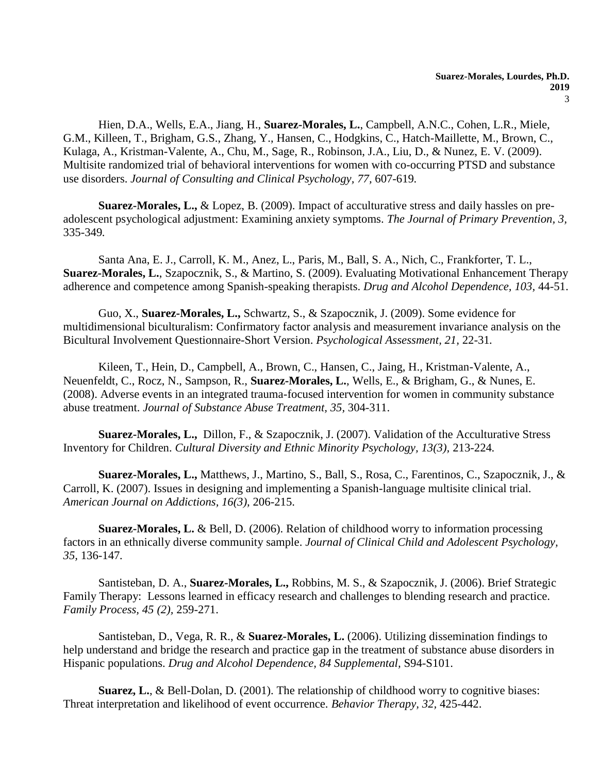Hien, D.A., Wells, E.A., Jiang, H., **Suarez-Morales, L.**, Campbell, A.N.C., Cohen, L.R., Miele, G.M., Killeen, T., Brigham, G.S., Zhang, Y., Hansen, C., Hodgkins, C., Hatch-Maillette, M., Brown, C., Kulaga, A., Kristman-Valente, A., Chu, M., Sage, R., Robinson, J.A., Liu, D., & Nunez, E. V. (2009). Multisite randomized trial of behavioral interventions for women with co-occurring PTSD and substance use disorders. *Journal of Consulting and Clinical Psychology, 77,* 607-619*.*

**Suarez-Morales, L.,** & Lopez, B. (2009). Impact of acculturative stress and daily hassles on preadolescent psychological adjustment: Examining anxiety symptoms. *The Journal of Primary Prevention, 3,* 335-349*.*

Santa Ana, E. J., Carroll, K. M., Anez, L., Paris, M., Ball, S. A., Nich, C., Frankforter, T. L., **Suarez-Morales, L.**, Szapocznik, S., & Martino, S. (2009). Evaluating Motivational Enhancement Therapy adherence and competence among Spanish-speaking therapists. *Drug and Alcohol Dependence, 103,* 44-51.

Guo, X., **Suarez-Morales, L.,** Schwartz, S., & Szapocznik, J. (2009). Some evidence for multidimensional biculturalism: Confirmatory factor analysis and measurement invariance analysis on the Bicultural Involvement Questionnaire-Short Version. *Psychological Assessment, 21,* 22-31*.*

Kileen, T., Hein, D., Campbell, A., Brown, C., Hansen, C., Jaing, H., Kristman-Valente, A., Neuenfeldt, C., Rocz, N., Sampson, R., **Suarez-Morales, L.**, Wells, E., & Brigham, G., & Nunes, E. (2008). Adverse events in an integrated trauma-focused intervention for women in community substance abuse treatment. *Journal of Substance Abuse Treatment, 35,* 304-311.

**Suarez-Morales, L.,** Dillon, F., & Szapocznik, J. (2007). Validation of the Acculturative Stress Inventory for Children. *Cultural Diversity and Ethnic Minority Psychology, 13(3),* 213-224*.*

**Suarez-Morales, L.,** Matthews, J., Martino, S., Ball, S., Rosa, C., Farentinos, C., Szapocznik, J., & Carroll, K. (2007). Issues in designing and implementing a Spanish-language multisite clinical trial. *American Journal on Addictions, 16(3),* 206-215.

**Suarez-Morales, L.** & Bell, D. (2006). Relation of childhood worry to information processing factors in an ethnically diverse community sample. *Journal of Clinical Child and Adolescent Psychology, 35,* 136-147*.*

Santisteban, D. A., **Suarez-Morales, L.,** Robbins, M. S., & Szapocznik, J. (2006). Brief Strategic Family Therapy: Lessons learned in efficacy research and challenges to blending research and practice. *Family Process, 45 (2),* 259-271.

Santisteban, D., Vega, R. R., & **Suarez-Morales, L.** (2006). Utilizing dissemination findings to help understand and bridge the research and practice gap in the treatment of substance abuse disorders in Hispanic populations. *Drug and Alcohol Dependence, 84 Supplemental,* S94-S101.

**Suarez, L., & Bell-Dolan, D. (2001). The relationship of childhood worry to cognitive biases:** Threat interpretation and likelihood of event occurrence. *Behavior Therapy, 32,* 425-442.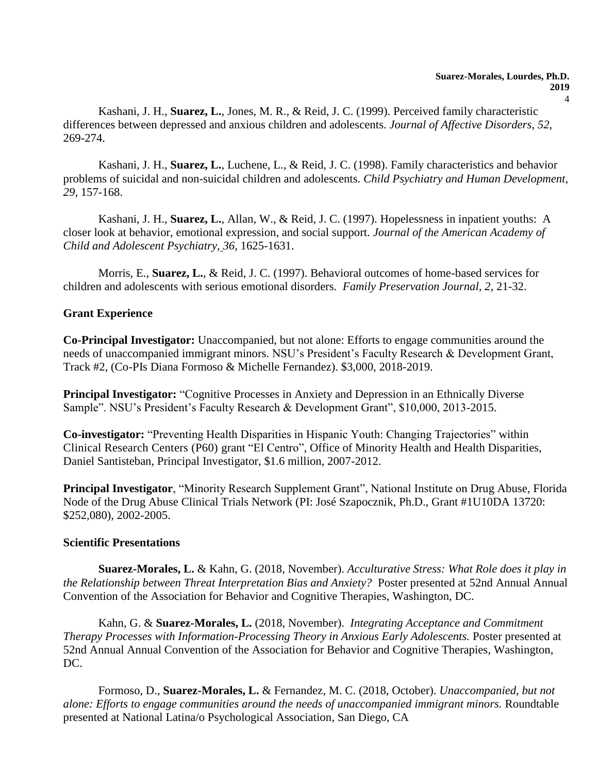Kashani, J. H., **Suarez, L.**, Jones, M. R., & Reid, J. C. (1999). Perceived family characteristic differences between depressed and anxious children and adolescents. *Journal of Affective Disorders, 52,*  269-274.

Kashani, J. H., **Suarez, L.**, Luchene, L., & Reid, J. C. (1998). Family characteristics and behavior problems of suicidal and non-suicidal children and adolescents. *Child Psychiatry and Human Development, 29,* 157-168.

Kashani, J. H., **Suarez, L.**, Allan, W., & Reid, J. C. (1997). Hopelessness in inpatient youths: A closer look at behavior, emotional expression, and social support. *Journal of the American Academy of Child and Adolescent Psychiatry, 36,* 1625-1631.

Morris, E., **Suarez, L.**, & Reid, J. C. (1997). Behavioral outcomes of home-based services for children and adolescents with serious emotional disorders. *Family Preservation Journal, 2,* 21-32.

## **Grant Experience**

**Co-Principal Investigator:** Unaccompanied, but not alone: Efforts to engage communities around the needs of unaccompanied immigrant minors. NSU's President's Faculty Research & Development Grant, Track #2, (Co-PIs Diana Formoso & Michelle Fernandez). \$3,000, 2018-2019.

**Principal Investigator:** "Cognitive Processes in Anxiety and Depression in an Ethnically Diverse Sample". NSU's President's Faculty Research & Development Grant", \$10,000, 2013-2015.

**Co-investigator:** "Preventing Health Disparities in Hispanic Youth: Changing Trajectories" within Clinical Research Centers (P60) grant "El Centro", Office of Minority Health and Health Disparities, Daniel Santisteban, Principal Investigator, \$1.6 million, 2007-2012.

**Principal Investigator**, "Minority Research Supplement Grant", National Institute on Drug Abuse, Florida Node of the Drug Abuse Clinical Trials Network (PI: José Szapocznik, Ph.D., Grant #1U10DA 13720: \$252,080), 2002-2005.

#### **Scientific Presentations**

**Suarez-Morales, L.** & Kahn, G. (2018, November). *Acculturative Stress: What Role does it play in the Relationship between Threat Interpretation Bias and Anxiety?* Poster presented at 52nd Annual Annual Convention of the Association for Behavior and Cognitive Therapies, Washington, DC.

Kahn, G. & **Suarez-Morales, L.** (2018, November). *Integrating Acceptance and Commitment Therapy Processes with Information-Processing Theory in Anxious Early Adolescents.* Poster presented at 52nd Annual Annual Convention of the Association for Behavior and Cognitive Therapies, Washington, DC.

Formoso, D., **Suarez-Morales, L.** & Fernandez, M. C. (2018, October). *Unaccompanied, but not alone: Efforts to engage communities around the needs of unaccompanied immigrant minors.* Roundtable presented at National Latina/o Psychological Association, San Diego, CA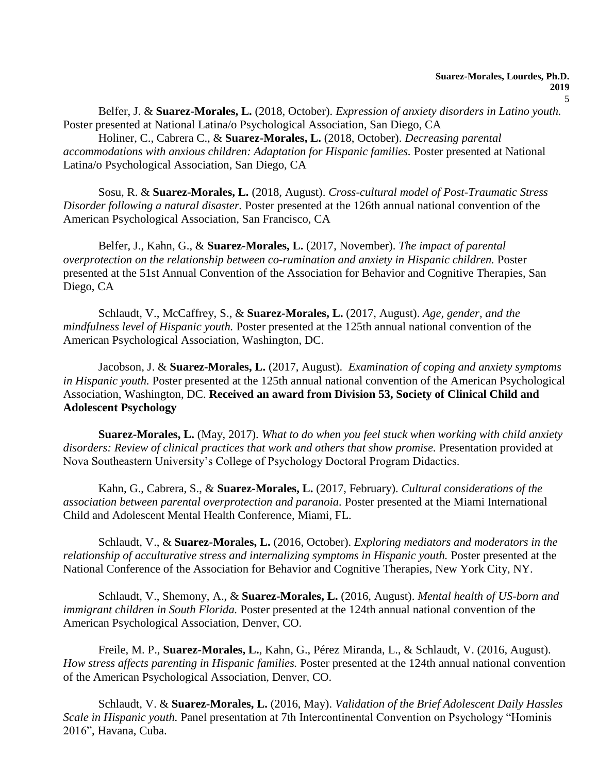Belfer, J. & **Suarez-Morales, L.** (2018, October). *Expression of anxiety disorders in Latino youth.* Poster presented at National Latina/o Psychological Association, San Diego, CA

Holiner, C., Cabrera C., & **Suarez-Morales, L.** (2018, October). *Decreasing parental accommodations with anxious children: Adaptation for Hispanic families.* Poster presented at National Latina/o Psychological Association, San Diego, CA

Sosu, R. & **Suarez-Morales, L.** (2018, August). *Cross-cultural model of Post-Traumatic Stress Disorder following a natural disaster.* Poster presented at the 126th annual national convention of the American Psychological Association, San Francisco, CA

Belfer, J., Kahn, G., & **Suarez-Morales, L.** (2017, November). *The impact of parental overprotection on the relationship between co-rumination and anxiety in Hispanic children.* Poster presented at the 51st Annual Convention of the Association for Behavior and Cognitive Therapies, San Diego, CA

Schlaudt, V., McCaffrey, S., & **Suarez-Morales, L.** (2017, August). *Age, gender, and the mindfulness level of Hispanic youth.* Poster presented at the 125th annual national convention of the American Psychological Association, Washington, DC.

Jacobson, J. & **Suarez-Morales, L.** (2017, August). *Examination of coping and anxiety symptoms in Hispanic youth.* Poster presented at the 125th annual national convention of the American Psychological Association, Washington, DC. **Received an award from Division 53, Society of Clinical Child and Adolescent Psychology**

**Suarez-Morales, L.** (May, 2017). *What to do when you feel stuck when working with child anxiety disorders: Review of clinical practices that work and others that show promise.* Presentation provided at Nova Southeastern University's College of Psychology Doctoral Program Didactics.

Kahn, G., Cabrera, S., & **Suarez-Morales, L.** (2017, February). *Cultural considerations of the association between parental overprotection and paranoia.* Poster presented at the Miami International Child and Adolescent Mental Health Conference, Miami, FL.

Schlaudt, V., & **Suarez-Morales, L.** (2016, October). *Exploring mediators and moderators in the relationship of acculturative stress and internalizing symptoms in Hispanic youth.* Poster presented at the National Conference of the Association for Behavior and Cognitive Therapies, New York City, NY.

Schlaudt, V., Shemony, A., & **Suarez-Morales, L.** (2016, August). *Mental health of US-born and immigrant children in South Florida.* Poster presented at the 124th annual national convention of the American Psychological Association, Denver, CO.

Freile, M. P., **Suarez-Morales, L.**, Kahn, G., Pérez Miranda, L., & Schlaudt, V. (2016, August). *How stress affects parenting in Hispanic families.* Poster presented at the 124th annual national convention of the American Psychological Association, Denver, CO.

Schlaudt, V. & **Suarez-Morales, L.** (2016, May). *Validation of the Brief Adolescent Daily Hassles Scale in Hispanic youth.* Panel presentation at 7th Intercontinental Convention on Psychology "Hominis 2016", Havana, Cuba.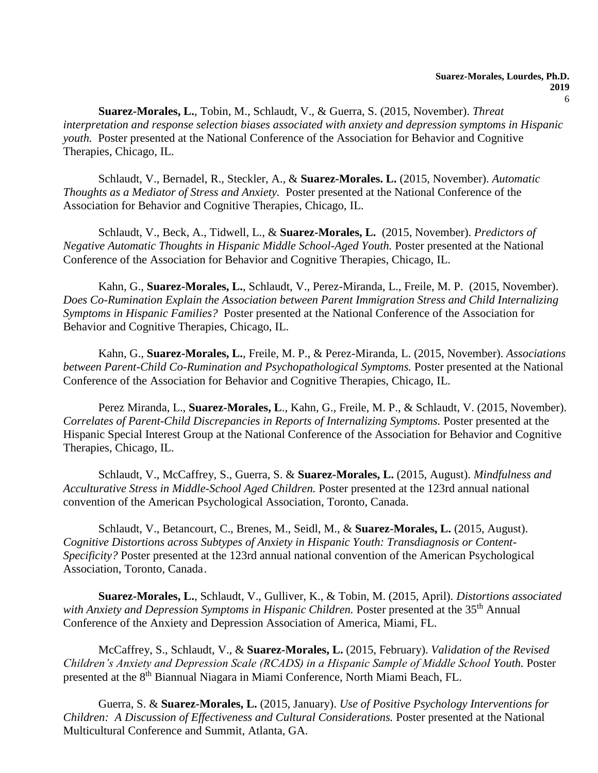**Suarez-Morales, L.**, Tobin, M., Schlaudt, V., & Guerra, S. (2015, November). *Threat interpretation and response selection biases associated with anxiety and depression symptoms in Hispanic youth.* Poster presented at the National Conference of the Association for Behavior and Cognitive Therapies, Chicago, IL.

Schlaudt, V., Bernadel, R., Steckler, A., & **Suarez-Morales. L.** (2015, November). *Automatic Thoughts as a Mediator of Stress and Anxiety.* Poster presented at the National Conference of the Association for Behavior and Cognitive Therapies, Chicago, IL.

Schlaudt, V., Beck, A., Tidwell, L., & **Suarez-Morales, L.** (2015, November). *Predictors of Negative Automatic Thoughts in Hispanic Middle School-Aged Youth.* Poster presented at the National Conference of the Association for Behavior and Cognitive Therapies, Chicago, IL.

Kahn, G., **Suarez-Morales, L.**, Schlaudt, V., Perez-Miranda, L., Freile, M. P. (2015, November). *Does Co-Rumination Explain the Association between Parent Immigration Stress and Child Internalizing Symptoms in Hispanic Families?* Poster presented at the National Conference of the Association for Behavior and Cognitive Therapies, Chicago, IL.

Kahn, G., **Suarez-Morales, L.**, Freile, M. P., & Perez-Miranda, L. (2015, November). *Associations between Parent-Child Co-Rumination and Psychopathological Symptoms.* Poster presented at the National Conference of the Association for Behavior and Cognitive Therapies, Chicago, IL.

Perez Miranda, L., **Suarez-Morales, L**., Kahn, G., Freile, M. P., & Schlaudt, V. (2015, November). *Correlates of Parent-Child Discrepancies in Reports of Internalizing Symptoms.* Poster presented at the Hispanic Special Interest Group at the National Conference of the Association for Behavior and Cognitive Therapies, Chicago, IL.

Schlaudt, V., McCaffrey, S., Guerra, S. & **Suarez-Morales, L.** (2015, August). *Mindfulness and Acculturative Stress in Middle-School Aged Children.* Poster presented at the 123rd annual national convention of the American Psychological Association, Toronto, Canada.

Schlaudt, V., Betancourt, C., Brenes, M., Seidl, M., & **Suarez-Morales, L.** (2015, August). *Cognitive Distortions across Subtypes of Anxiety in Hispanic Youth: Transdiagnosis or Content-Specificity?* Poster presented at the 123rd annual national convention of the American Psychological Association, Toronto, Canada.

**Suarez-Morales, L.**, Schlaudt, V., Gulliver, K., & Tobin, M. (2015, April). *Distortions associated*  with Anxiety and Depression Symptoms in Hispanic Children. Poster presented at the 35<sup>th</sup> Annual Conference of the Anxiety and Depression Association of America, Miami, FL.

McCaffrey, S., Schlaudt, V., & **Suarez-Morales, L.** (2015, February). *Validation of the Revised Children's Anxiety and Depression Scale (RCADS) in a Hispanic Sample of Middle School Youth.* Poster presented at the 8<sup>th</sup> Biannual Niagara in Miami Conference, North Miami Beach, FL.

Guerra, S. & **Suarez-Morales, L.** (2015, January). *Use of Positive Psychology Interventions for Children: A Discussion of Effectiveness and Cultural Considerations.* Poster presented at the National Multicultural Conference and Summit, Atlanta, GA.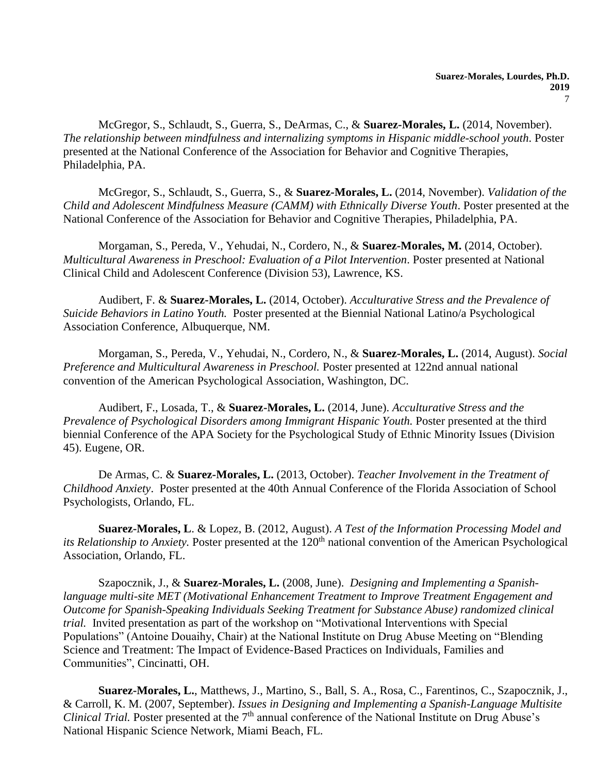McGregor, S., Schlaudt, S., Guerra, S., DeArmas, C., & **Suarez-Morales, L.** (2014, November). *The relationship between mindfulness and internalizing symptoms in Hispanic middle-school youth*. Poster presented at the National Conference of the Association for Behavior and Cognitive Therapies, Philadelphia, PA.

McGregor, S., Schlaudt, S., Guerra, S., & **Suarez-Morales, L.** (2014, November). *Validation of the Child and Adolescent Mindfulness Measure (CAMM) with Ethnically Diverse Youth*. Poster presented at the National Conference of the Association for Behavior and Cognitive Therapies, Philadelphia, PA.

Morgaman, S., Pereda, V., Yehudai, N., Cordero, N., & **Suarez-Morales, M.** (2014, October). *Multicultural Awareness in Preschool: Evaluation of a Pilot Intervention*. Poster presented at National Clinical Child and Adolescent Conference (Division 53), Lawrence, KS.

Audibert, F. & **Suarez-Morales, L.** (2014, October). *Acculturative Stress and the Prevalence of Suicide Behaviors in Latino Youth.* Poster presented at the Biennial National Latino/a Psychological Association Conference, Albuquerque, NM.

Morgaman, S., Pereda, V., Yehudai, N., Cordero, N., & **Suarez-Morales, L.** (2014, August). *Social Preference and Multicultural Awareness in Preschool.* Poster presented at 122nd annual national convention of the American Psychological Association, Washington, DC.

Audibert, F., Losada, T., & **Suarez-Morales, L.** (2014, June). *Acculturative Stress and the Prevalence of Psychological Disorders among Immigrant Hispanic Youth.* Poster presented at the third biennial Conference of the APA Society for the Psychological Study of Ethnic Minority Issues (Division 45). Eugene, OR.

De Armas, C. & **Suarez-Morales, L.** (2013, October). *Teacher Involvement in the Treatment of Childhood Anxiety*. Poster presented at the 40th Annual Conference of the Florida Association of School Psychologists, Orlando, FL.

**Suarez-Morales, L**. & Lopez, B. (2012, August). *A Test of the Information Processing Model and its Relationship to Anxiety.* Poster presented at the 120<sup>th</sup> national convention of the American Psychological Association, Orlando, FL.

Szapocznik, J., & **Suarez-Morales, L.** (2008, June). *Designing and Implementing a Spanishlanguage multi-site MET (Motivational Enhancement Treatment to Improve Treatment Engagement and Outcome for Spanish-Speaking Individuals Seeking Treatment for Substance Abuse) randomized clinical trial.* Invited presentation as part of the workshop on "Motivational Interventions with Special Populations" (Antoine Douaihy, Chair) at the National Institute on Drug Abuse Meeting on "Blending Science and Treatment: The Impact of Evidence-Based Practices on Individuals, Families and Communities", Cincinatti, OH.

**Suarez-Morales, L.**, Matthews, J., Martino, S., Ball, S. A., Rosa, C., Farentinos, C., Szapocznik, J., & Carroll, K. M. (2007, September). *Issues in Designing and Implementing a Spanish-Language Multisite Clinical Trial.* Poster presented at the 7<sup>th</sup> annual conference of the National Institute on Drug Abuse's National Hispanic Science Network, Miami Beach, FL.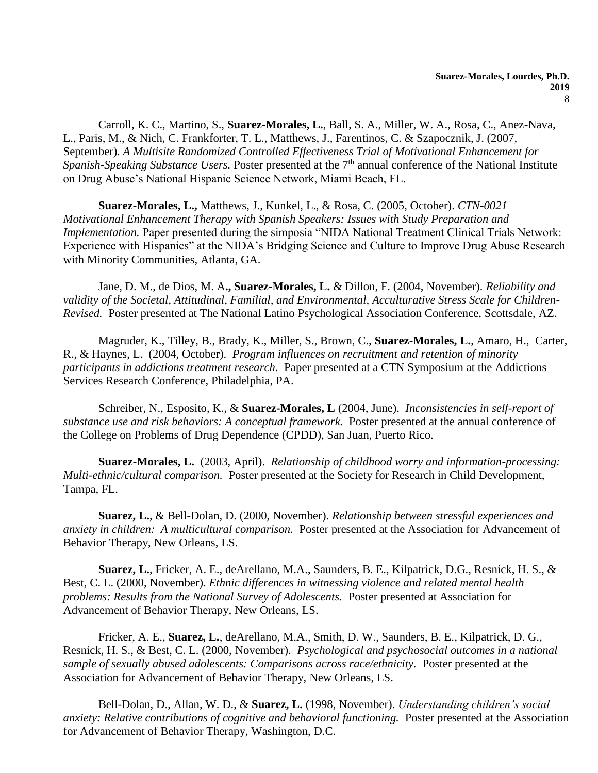Carroll, K. C., Martino, S., **Suarez-Morales, L.**, Ball, S. A., Miller, W. A., Rosa, C., Anez-Nava, L., Paris, M., & Nich, C. Frankforter, T. L., Matthews, J., Farentinos, C. & Szapocznik, J. (2007, September). *A Multisite Randomized Controlled Effectiveness Trial of Motivational Enhancement for Spanish-Speaking Substance Users.* Poster presented at the 7th annual conference of the National Institute on Drug Abuse's National Hispanic Science Network, Miami Beach, FL.

**Suarez-Morales, L.,** Matthews, J., Kunkel, L., & Rosa, C. (2005, October). *CTN-0021 Motivational Enhancement Therapy with Spanish Speakers: Issues with Study Preparation and Implementation.* Paper presented during the simposia "NIDA National Treatment Clinical Trials Network: Experience with Hispanics" at the NIDA's Bridging Science and Culture to Improve Drug Abuse Research with Minority Communities, Atlanta, GA.

Jane, D. M., de Dios, M. A**., Suarez-Morales, L.** & Dillon, F. (2004, November). *Reliability and validity of the Societal, Attitudinal, Familial, and Environmental, Acculturative Stress Scale for Children-Revised.* Poster presented at The National Latino Psychological Association Conference, Scottsdale, AZ.

Magruder, K., Tilley, B., Brady, K., Miller, S., Brown, C., **Suarez-Morales, L.**, Amaro, H., Carter, R., & Haynes, L. (2004, October). *Program influences on recruitment and retention of minority participants in addictions treatment research.* Paper presented at a CTN Symposium at the Addictions Services Research Conference, Philadelphia, PA.

Schreiber, N., Esposito, K., & **Suarez-Morales, L** (2004, June). *Inconsistencies in self-report of substance use and risk behaviors: A conceptual framework.* Poster presented at the annual conference of the College on Problems of Drug Dependence (CPDD), San Juan, Puerto Rico.

**Suarez-Morales, L.** (2003, April). *Relationship of childhood worry and information-processing: Multi-ethnic/cultural comparison.* Poster presented at the Society for Research in Child Development, Tampa, FL.

**Suarez, L.**, & Bell-Dolan, D. (2000, November). *Relationship between stressful experiences and anxiety in children: A multicultural comparison.* Poster presented at the Association for Advancement of Behavior Therapy, New Orleans, LS.

**Suarez, L.**, Fricker, A. E., deArellano, M.A., Saunders, B. E., Kilpatrick, D.G., Resnick, H. S., & Best, C. L. (2000, November). *Ethnic differences in witnessing violence and related mental health problems: Results from the National Survey of Adolescents.* Poster presented at Association for Advancement of Behavior Therapy, New Orleans, LS.

Fricker, A. E., **Suarez, L.**, deArellano, M.A., Smith, D. W., Saunders, B. E., Kilpatrick, D. G., Resnick, H. S., & Best, C. L. (2000, November). *Psychological and psychosocial outcomes in a national sample of sexually abused adolescents: Comparisons across race/ethnicity.* Poster presented at the Association for Advancement of Behavior Therapy, New Orleans, LS.

Bell-Dolan, D., Allan, W. D., & **Suarez, L.** (1998, November). *Understanding children's social anxiety: Relative contributions of cognitive and behavioral functioning.* Poster presented at the Association for Advancement of Behavior Therapy, Washington, D.C.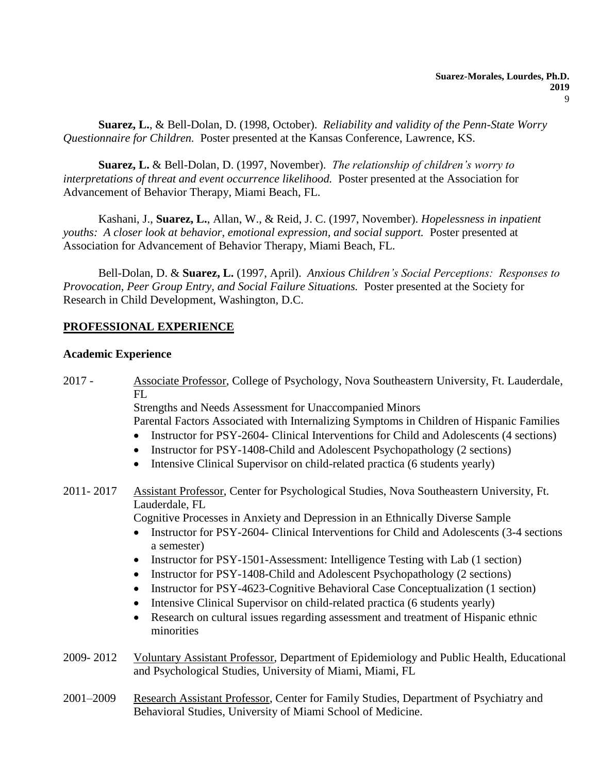**Suarez, L.**, & Bell-Dolan, D. (1998, October). *Reliability and validity of the Penn-State Worry Questionnaire for Children.* Poster presented at the Kansas Conference, Lawrence, KS.

**Suarez, L.** & Bell-Dolan, D. (1997, November). *The relationship of children's worry to interpretations of threat and event occurrence likelihood.* Poster presented at the Association for Advancement of Behavior Therapy, Miami Beach, FL.

Kashani, J., **Suarez, L.**, Allan, W., & Reid, J. C. (1997, November). *Hopelessness in inpatient youths: A closer look at behavior, emotional expression, and social support.* Poster presented at Association for Advancement of Behavior Therapy, Miami Beach, FL.

Bell-Dolan, D. & **Suarez, L.** (1997, April). *Anxious Children's Social Perceptions: Responses to Provocation, Peer Group Entry, and Social Failure Situations.* Poster presented at the Society for Research in Child Development, Washington, D.C.

## **PROFESSIONAL EXPERIENCE**

#### **Academic Experience**

2017 - Associate Professor, College of Psychology, Nova Southeastern University, Ft. Lauderdale, FL Strengths and Needs Assessment for Unaccompanied Minors Parental Factors Associated with Internalizing Symptoms in Children of Hispanic Families • Instructor for PSY-2604- Clinical Interventions for Child and Adolescents (4 sections) • Instructor for PSY-1408-Child and Adolescent Psychopathology (2 sections) • Intensive Clinical Supervisor on child-related practica (6 students yearly) 2011- 2017 Assistant Professor, Center for Psychological Studies, Nova Southeastern University, Ft. Lauderdale, FL Cognitive Processes in Anxiety and Depression in an Ethnically Diverse Sample • Instructor for PSY-2604- Clinical Interventions for Child and Adolescents (3-4 sections a semester) • Instructor for PSY-1501-Assessment: Intelligence Testing with Lab (1 section) • Instructor for PSY-1408-Child and Adolescent Psychopathology (2 sections) • Instructor for PSY-4623-Cognitive Behavioral Case Conceptualization (1 section) Intensive Clinical Supervisor on child-related practica (6 students yearly) • Research on cultural issues regarding assessment and treatment of Hispanic ethnic minorities 2009- 2012 Voluntary Assistant Professor, Department of Epidemiology and Public Health, Educational and Psychological Studies, University of Miami, Miami, FL 2001–2009 Research Assistant Professor, Center for Family Studies, Department of Psychiatry and Behavioral Studies, University of Miami School of Medicine.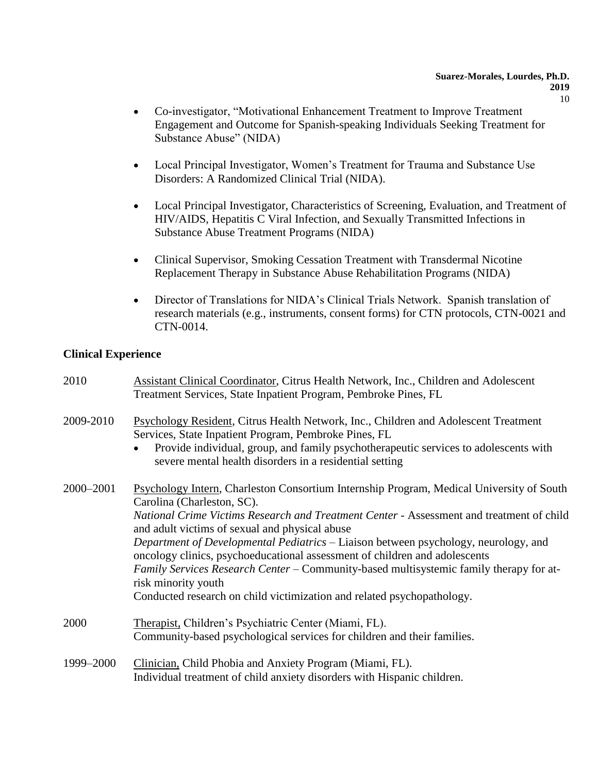- Co-investigator, "Motivational Enhancement Treatment to Improve Treatment Engagement and Outcome for Spanish-speaking Individuals Seeking Treatment for Substance Abuse" (NIDA)
- Local Principal Investigator, Women's Treatment for Trauma and Substance Use Disorders: A Randomized Clinical Trial (NIDA).
- Local Principal Investigator, Characteristics of Screening, Evaluation, and Treatment of HIV/AIDS, Hepatitis C Viral Infection, and Sexually Transmitted Infections in Substance Abuse Treatment Programs (NIDA)
- Clinical Supervisor, Smoking Cessation Treatment with Transdermal Nicotine Replacement Therapy in Substance Abuse Rehabilitation Programs (NIDA)
- Director of Translations for NIDA's Clinical Trials Network. Spanish translation of research materials (e.g., instruments, consent forms) for CTN protocols, CTN-0021 and CTN-0014.

## **Clinical Experience**

| 2010      | Assistant Clinical Coordinator, Citrus Health Network, Inc., Children and Adolescent<br>Treatment Services, State Inpatient Program, Pembroke Pines, FL                                                                                                                                                                                                                                                                                                                                                                                                                                                                                            |
|-----------|----------------------------------------------------------------------------------------------------------------------------------------------------------------------------------------------------------------------------------------------------------------------------------------------------------------------------------------------------------------------------------------------------------------------------------------------------------------------------------------------------------------------------------------------------------------------------------------------------------------------------------------------------|
| 2009-2010 | Psychology Resident, Citrus Health Network, Inc., Children and Adolescent Treatment<br>Services, State Inpatient Program, Pembroke Pines, FL<br>Provide individual, group, and family psychotherapeutic services to adolescents with<br>severe mental health disorders in a residential setting                                                                                                                                                                                                                                                                                                                                                    |
| 2000-2001 | Psychology Intern, Charleston Consortium Internship Program, Medical University of South<br>Carolina (Charleston, SC).<br>National Crime Victims Research and Treatment Center - Assessment and treatment of child<br>and adult victims of sexual and physical abuse<br><i>Department of Developmental Pediatrics</i> – Liaison between psychology, neurology, and<br>oncology clinics, psychoeducational assessment of children and adolescents<br><i>Family Services Research Center</i> – Community-based multisystemic family therapy for at-<br>risk minority youth<br>Conducted research on child victimization and related psychopathology. |
| 2000      | Therapist, Children's Psychiatric Center (Miami, FL).<br>Community-based psychological services for children and their families.                                                                                                                                                                                                                                                                                                                                                                                                                                                                                                                   |
| 1999-2000 | Clinician, Child Phobia and Anxiety Program (Miami, FL).<br>Individual treatment of child anxiety disorders with Hispanic children.                                                                                                                                                                                                                                                                                                                                                                                                                                                                                                                |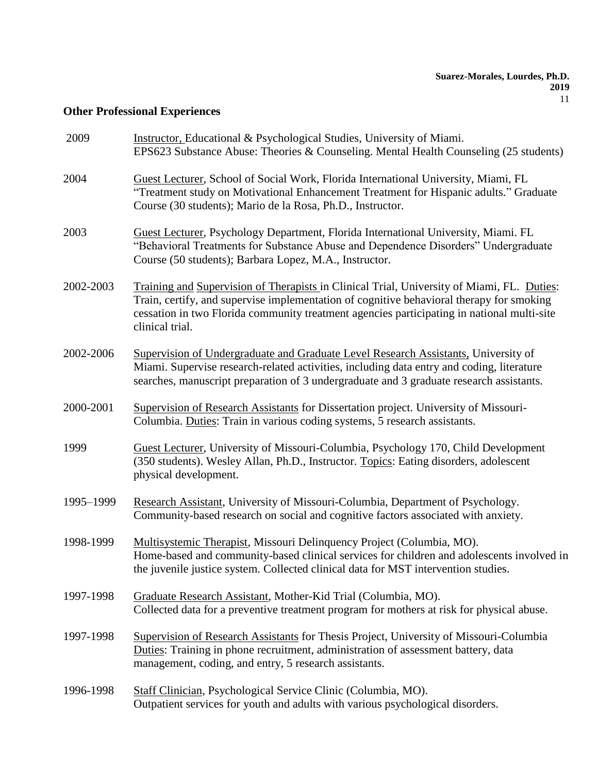# **Other Professional Experiences**

| 2009      | Instructor, Educational & Psychological Studies, University of Miami.<br>EPS623 Substance Abuse: Theories & Counseling. Mental Health Counseling (25 students)                                                                                                                                          |
|-----------|---------------------------------------------------------------------------------------------------------------------------------------------------------------------------------------------------------------------------------------------------------------------------------------------------------|
| 2004      | Guest Lecturer, School of Social Work, Florida International University, Miami, FL<br>"Treatment study on Motivational Enhancement Treatment for Hispanic adults." Graduate<br>Course (30 students); Mario de la Rosa, Ph.D., Instructor.                                                               |
| 2003      | Guest Lecturer, Psychology Department, Florida International University, Miami. FL<br>"Behavioral Treatments for Substance Abuse and Dependence Disorders" Undergraduate<br>Course (50 students); Barbara Lopez, M.A., Instructor.                                                                      |
| 2002-2003 | Training and Supervision of Therapists in Clinical Trial, University of Miami, FL. Duties:<br>Train, certify, and supervise implementation of cognitive behavioral therapy for smoking<br>cessation in two Florida community treatment agencies participating in national multi-site<br>clinical trial. |
| 2002-2006 | Supervision of Undergraduate and Graduate Level Research Assistants, University of<br>Miami. Supervise research-related activities, including data entry and coding, literature<br>searches, manuscript preparation of 3 undergraduate and 3 graduate research assistants.                              |
| 2000-2001 | Supervision of Research Assistants for Dissertation project. University of Missouri-<br>Columbia. Duties: Train in various coding systems, 5 research assistants.                                                                                                                                       |
| 1999      | Guest Lecturer, University of Missouri-Columbia, Psychology 170, Child Development<br>(350 students). Wesley Allan, Ph.D., Instructor. Topics: Eating disorders, adolescent<br>physical development.                                                                                                    |
| 1995-1999 | Research Assistant, University of Missouri-Columbia, Department of Psychology.<br>Community-based research on social and cognitive factors associated with anxiety.                                                                                                                                     |
| 1998-1999 | Multisystemic Therapist, Missouri Delinquency Project (Columbia, MO).<br>Home-based and community-based clinical services for children and adolescents involved in<br>the juvenile justice system. Collected clinical data for MST intervention studies.                                                |
| 1997-1998 | Graduate Research Assistant, Mother-Kid Trial (Columbia, MO).<br>Collected data for a preventive treatment program for mothers at risk for physical abuse.                                                                                                                                              |
| 1997-1998 | Supervision of Research Assistants for Thesis Project, University of Missouri-Columbia<br>Duties: Training in phone recruitment, administration of assessment battery, data<br>management, coding, and entry, 5 research assistants.                                                                    |
| 1996-1998 | Staff Clinician, Psychological Service Clinic (Columbia, MO).<br>Outpatient services for youth and adults with various psychological disorders.                                                                                                                                                         |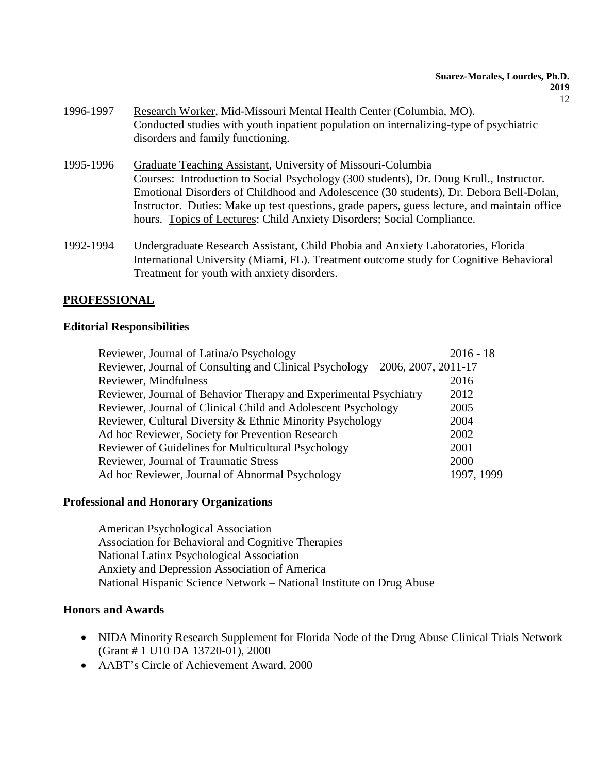1996-1997 Research Worker, Mid-Missouri Mental Health Center (Columbia, MO). Conducted studies with youth inpatient population on internalizing-type of psychiatric disorders and family functioning. 1995-1996 Graduate Teaching Assistant, University of Missouri-Columbia Courses: Introduction to Social Psychology (300 students), Dr. Doug Krull., Instructor. Emotional Disorders of Childhood and Adolescence (30 students), Dr. Debora Bell-Dolan, Instructor. Duties: Make up test questions, grade papers, guess lecture, and maintain office hours. Topics of Lectures: Child Anxiety Disorders; Social Compliance. 1992-1994 Undergraduate Research Assistant, Child Phobia and Anxiety Laboratories, Florida International University (Miami, FL). Treatment outcome study for Cognitive Behavioral

## **PROFESSIONAL**

#### **Editorial Responsibilities**

| Reviewer, Journal of Latina/o Psychology                                       | $2016 - 18$ |  |
|--------------------------------------------------------------------------------|-------------|--|
| Reviewer, Journal of Consulting and Clinical Psychology<br>2006, 2007, 2011-17 |             |  |
| Reviewer, Mindfulness                                                          | 2016        |  |
| Reviewer, Journal of Behavior Therapy and Experimental Psychiatry              | 2012        |  |
| Reviewer, Journal of Clinical Child and Adolescent Psychology                  | 2005        |  |
| Reviewer, Cultural Diversity & Ethnic Minority Psychology                      | 2004        |  |
| Ad hoc Reviewer, Society for Prevention Research                               | 2002        |  |
| Reviewer of Guidelines for Multicultural Psychology                            |             |  |
| Reviewer, Journal of Traumatic Stress                                          | 2000        |  |
| Ad hoc Reviewer, Journal of Abnormal Psychology                                | 1997, 1999  |  |

## **Professional and Honorary Organizations**

American Psychological Association Association for Behavioral and Cognitive Therapies National Latinx Psychological Association Anxiety and Depression Association of America National Hispanic Science Network – National Institute on Drug Abuse

Treatment for youth with anxiety disorders.

## **Honors and Awards**

- NIDA Minority Research Supplement for Florida Node of the Drug Abuse Clinical Trials Network (Grant # 1 U10 DA 13720-01), 2000
- AABT's Circle of Achievement Award, 2000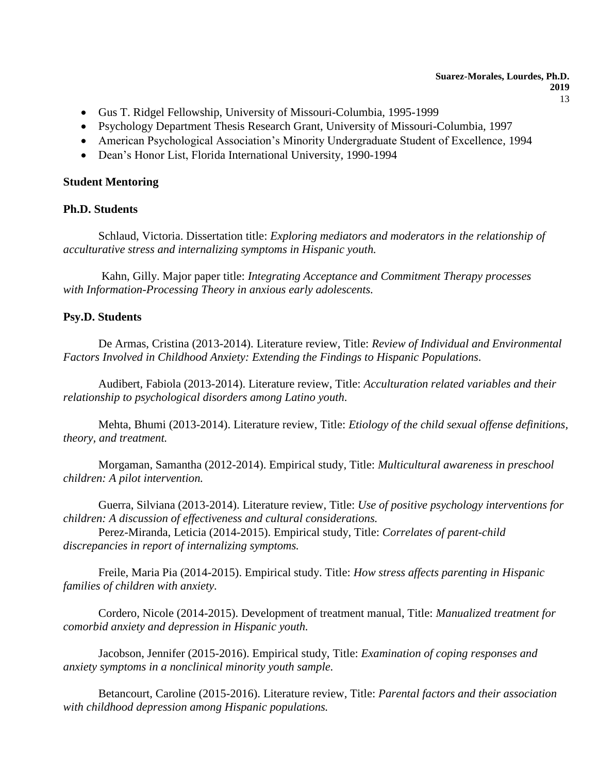- Gus T. Ridgel Fellowship, University of Missouri-Columbia, 1995-1999
- Psychology Department Thesis Research Grant, University of Missouri-Columbia, 1997
- American Psychological Association's Minority Undergraduate Student of Excellence, 1994
- Dean's Honor List, Florida International University, 1990-1994

## **Student Mentoring**

## **Ph.D. Students**

Schlaud, Victoria. Dissertation title: *Exploring mediators and moderators in the relationship of acculturative stress and internalizing symptoms in Hispanic youth.*

Kahn, Gilly. Major paper title: *Integrating Acceptance and Commitment Therapy processes with Information-Processing Theory in anxious early adolescents.*

## **Psy.D. Students**

De Armas, Cristina (2013-2014). Literature review, Title: *Review of Individual and Environmental Factors Involved in Childhood Anxiety: Extending the Findings to Hispanic Populations.* 

Audibert, Fabiola (2013-2014). Literature review, Title: *Acculturation related variables and their relationship to psychological disorders among Latino youth.*

Mehta, Bhumi (2013-2014). Literature review, Title: *Etiology of the child sexual offense definitions, theory, and treatment.*

Morgaman, Samantha (2012-2014). Empirical study, Title: *Multicultural awareness in preschool children: A pilot intervention.*

Guerra, Silviana (2013-2014). Literature review, Title: *Use of positive psychology interventions for children: A discussion of effectiveness and cultural considerations.*

Perez-Miranda, Leticia (2014-2015). Empirical study, Title: *Correlates of parent-child discrepancies in report of internalizing symptoms.*

Freile, Maria Pia (2014-2015). Empirical study. Title: *How stress affects parenting in Hispanic families of children with anxiety.*

Cordero, Nicole (2014-2015). Development of treatment manual, Title: *Manualized treatment for comorbid anxiety and depression in Hispanic youth.*

Jacobson, Jennifer (2015-2016). Empirical study, Title: *Examination of coping responses and anxiety symptoms in a nonclinical minority youth sample.*

Betancourt, Caroline (2015-2016). Literature review, Title: *Parental factors and their association with childhood depression among Hispanic populations.*